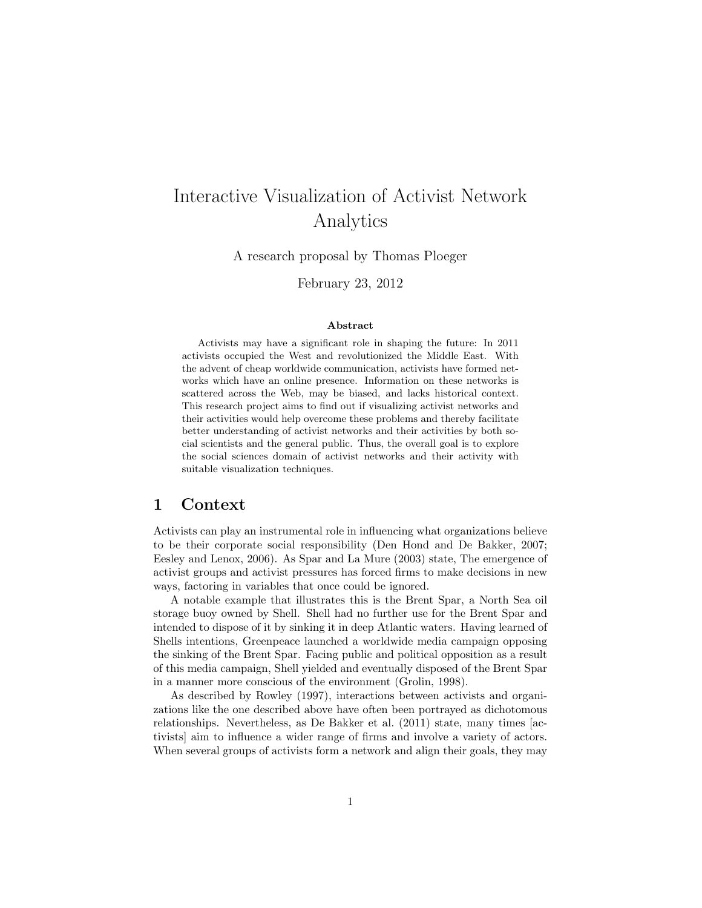# Interactive Visualization of Activist Network Analytics

A research proposal by Thomas Ploeger

February 23, 2012

#### Abstract

Activists may have a significant role in shaping the future: In 2011 activists occupied the West and revolutionized the Middle East. With the advent of cheap worldwide communication, activists have formed networks which have an online presence. Information on these networks is scattered across the Web, may be biased, and lacks historical context. This research project aims to find out if visualizing activist networks and their activities would help overcome these problems and thereby facilitate better understanding of activist networks and their activities by both social scientists and the general public. Thus, the overall goal is to explore the social sciences domain of activist networks and their activity with suitable visualization techniques.

#### 1 Context

Activists can play an instrumental role in influencing what organizations believe to be their corporate social responsibility (Den Hond and De Bakker, 2007; Eesley and Lenox, 2006). As Spar and La Mure (2003) state, The emergence of activist groups and activist pressures has forced firms to make decisions in new ways, factoring in variables that once could be ignored.

A notable example that illustrates this is the Brent Spar, a North Sea oil storage buoy owned by Shell. Shell had no further use for the Brent Spar and intended to dispose of it by sinking it in deep Atlantic waters. Having learned of Shells intentions, Greenpeace launched a worldwide media campaign opposing the sinking of the Brent Spar. Facing public and political opposition as a result of this media campaign, Shell yielded and eventually disposed of the Brent Spar in a manner more conscious of the environment (Grolin, 1998).

As described by Rowley (1997), interactions between activists and organizations like the one described above have often been portrayed as dichotomous relationships. Nevertheless, as De Bakker et al. (2011) state, many times [activists] aim to influence a wider range of firms and involve a variety of actors. When several groups of activists form a network and align their goals, they may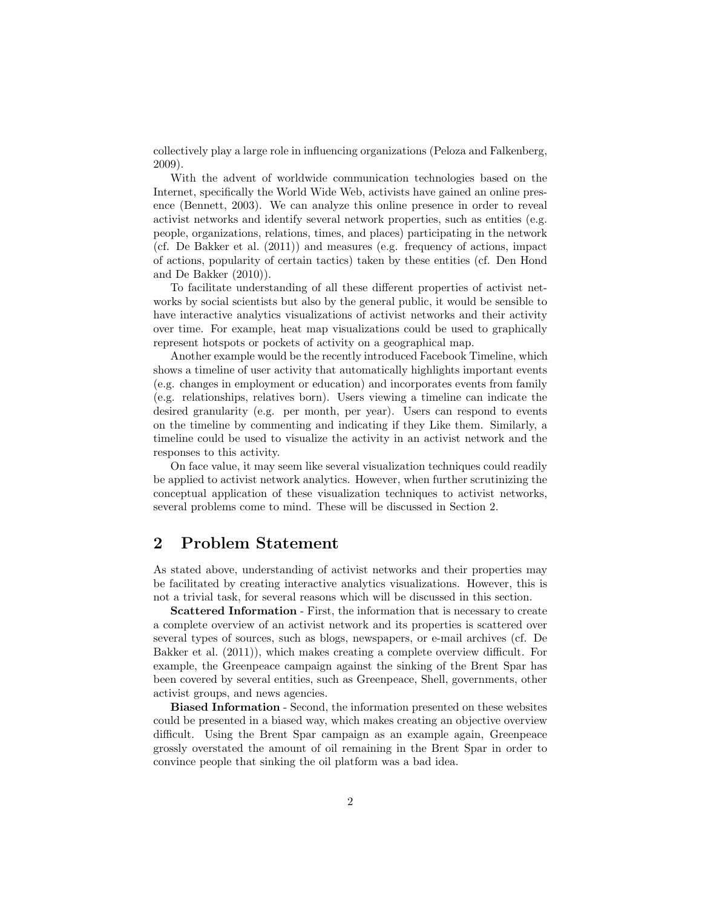collectively play a large role in influencing organizations (Peloza and Falkenberg, 2009).

With the advent of worldwide communication technologies based on the Internet, specifically the World Wide Web, activists have gained an online presence (Bennett, 2003). We can analyze this online presence in order to reveal activist networks and identify several network properties, such as entities (e.g. people, organizations, relations, times, and places) participating in the network (cf. De Bakker et al. (2011)) and measures (e.g. frequency of actions, impact of actions, popularity of certain tactics) taken by these entities (cf. Den Hond and De Bakker (2010)).

To facilitate understanding of all these different properties of activist networks by social scientists but also by the general public, it would be sensible to have interactive analytics visualizations of activist networks and their activity over time. For example, heat map visualizations could be used to graphically represent hotspots or pockets of activity on a geographical map.

Another example would be the recently introduced Facebook Timeline, which shows a timeline of user activity that automatically highlights important events (e.g. changes in employment or education) and incorporates events from family (e.g. relationships, relatives born). Users viewing a timeline can indicate the desired granularity (e.g. per month, per year). Users can respond to events on the timeline by commenting and indicating if they Like them. Similarly, a timeline could be used to visualize the activity in an activist network and the responses to this activity.

On face value, it may seem like several visualization techniques could readily be applied to activist network analytics. However, when further scrutinizing the conceptual application of these visualization techniques to activist networks, several problems come to mind. These will be discussed in Section 2.

# 2 Problem Statement

As stated above, understanding of activist networks and their properties may be facilitated by creating interactive analytics visualizations. However, this is not a trivial task, for several reasons which will be discussed in this section.

Scattered Information - First, the information that is necessary to create a complete overview of an activist network and its properties is scattered over several types of sources, such as blogs, newspapers, or e-mail archives (cf. De Bakker et al. (2011)), which makes creating a complete overview difficult. For example, the Greenpeace campaign against the sinking of the Brent Spar has been covered by several entities, such as Greenpeace, Shell, governments, other activist groups, and news agencies.

Biased Information - Second, the information presented on these websites could be presented in a biased way, which makes creating an objective overview difficult. Using the Brent Spar campaign as an example again, Greenpeace grossly overstated the amount of oil remaining in the Brent Spar in order to convince people that sinking the oil platform was a bad idea.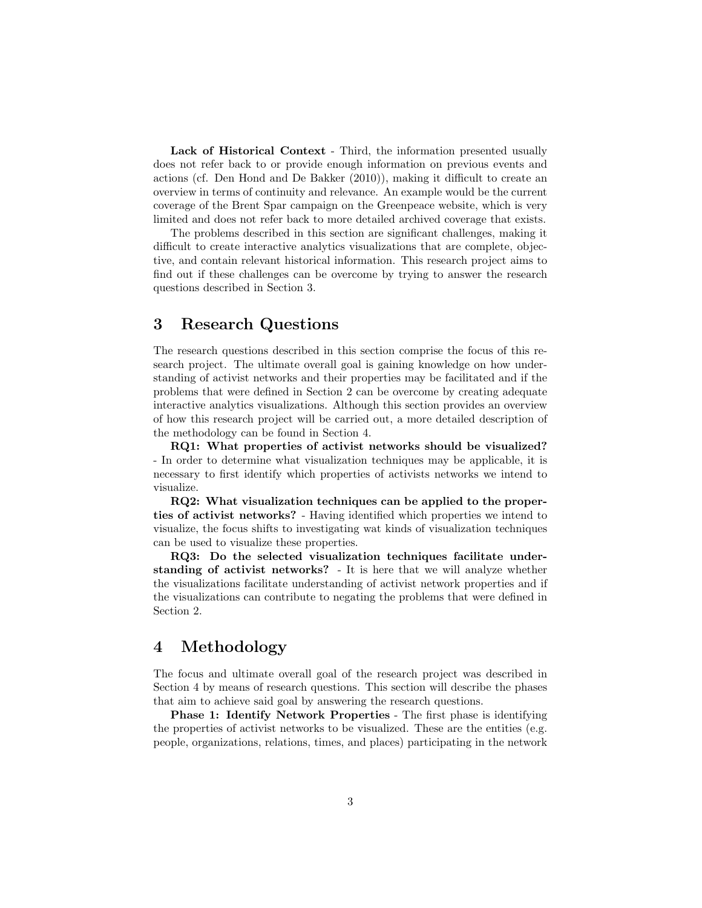Lack of Historical Context - Third, the information presented usually does not refer back to or provide enough information on previous events and actions (cf. Den Hond and De Bakker (2010)), making it difficult to create an overview in terms of continuity and relevance. An example would be the current coverage of the Brent Spar campaign on the Greenpeace website, which is very limited and does not refer back to more detailed archived coverage that exists.

The problems described in this section are significant challenges, making it difficult to create interactive analytics visualizations that are complete, objective, and contain relevant historical information. This research project aims to find out if these challenges can be overcome by trying to answer the research questions described in Section 3.

# 3 Research Questions

The research questions described in this section comprise the focus of this research project. The ultimate overall goal is gaining knowledge on how understanding of activist networks and their properties may be facilitated and if the problems that were defined in Section 2 can be overcome by creating adequate interactive analytics visualizations. Although this section provides an overview of how this research project will be carried out, a more detailed description of the methodology can be found in Section 4.

RQ1: What properties of activist networks should be visualized? - In order to determine what visualization techniques may be applicable, it is necessary to first identify which properties of activists networks we intend to visualize.

RQ2: What visualization techniques can be applied to the properties of activist networks? - Having identified which properties we intend to visualize, the focus shifts to investigating wat kinds of visualization techniques can be used to visualize these properties.

RQ3: Do the selected visualization techniques facilitate understanding of activist networks? - It is here that we will analyze whether the visualizations facilitate understanding of activist network properties and if the visualizations can contribute to negating the problems that were defined in Section 2.

#### 4 Methodology

The focus and ultimate overall goal of the research project was described in Section 4 by means of research questions. This section will describe the phases that aim to achieve said goal by answering the research questions.

Phase 1: Identify Network Properties - The first phase is identifying the properties of activist networks to be visualized. These are the entities (e.g. people, organizations, relations, times, and places) participating in the network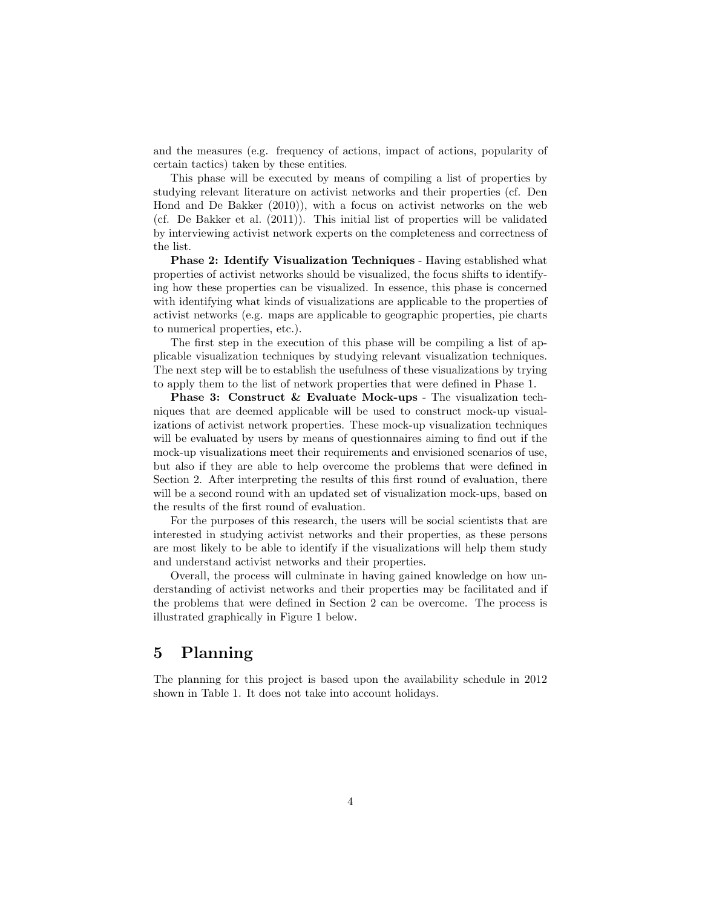and the measures (e.g. frequency of actions, impact of actions, popularity of certain tactics) taken by these entities.

This phase will be executed by means of compiling a list of properties by studying relevant literature on activist networks and their properties (cf. Den Hond and De Bakker (2010)), with a focus on activist networks on the web (cf. De Bakker et al. (2011)). This initial list of properties will be validated by interviewing activist network experts on the completeness and correctness of the list.

Phase 2: Identify Visualization Techniques - Having established what properties of activist networks should be visualized, the focus shifts to identifying how these properties can be visualized. In essence, this phase is concerned with identifying what kinds of visualizations are applicable to the properties of activist networks (e.g. maps are applicable to geographic properties, pie charts to numerical properties, etc.).

The first step in the execution of this phase will be compiling a list of applicable visualization techniques by studying relevant visualization techniques. The next step will be to establish the usefulness of these visualizations by trying to apply them to the list of network properties that were defined in Phase 1.

Phase 3: Construct & Evaluate Mock-ups - The visualization techniques that are deemed applicable will be used to construct mock-up visualizations of activist network properties. These mock-up visualization techniques will be evaluated by users by means of questionnaires aiming to find out if the mock-up visualizations meet their requirements and envisioned scenarios of use, but also if they are able to help overcome the problems that were defined in Section 2. After interpreting the results of this first round of evaluation, there will be a second round with an updated set of visualization mock-ups, based on the results of the first round of evaluation.

For the purposes of this research, the users will be social scientists that are interested in studying activist networks and their properties, as these persons are most likely to be able to identify if the visualizations will help them study and understand activist networks and their properties.

Overall, the process will culminate in having gained knowledge on how understanding of activist networks and their properties may be facilitated and if the problems that were defined in Section 2 can be overcome. The process is illustrated graphically in Figure 1 below.

#### 5 Planning

The planning for this project is based upon the availability schedule in 2012 shown in Table 1. It does not take into account holidays.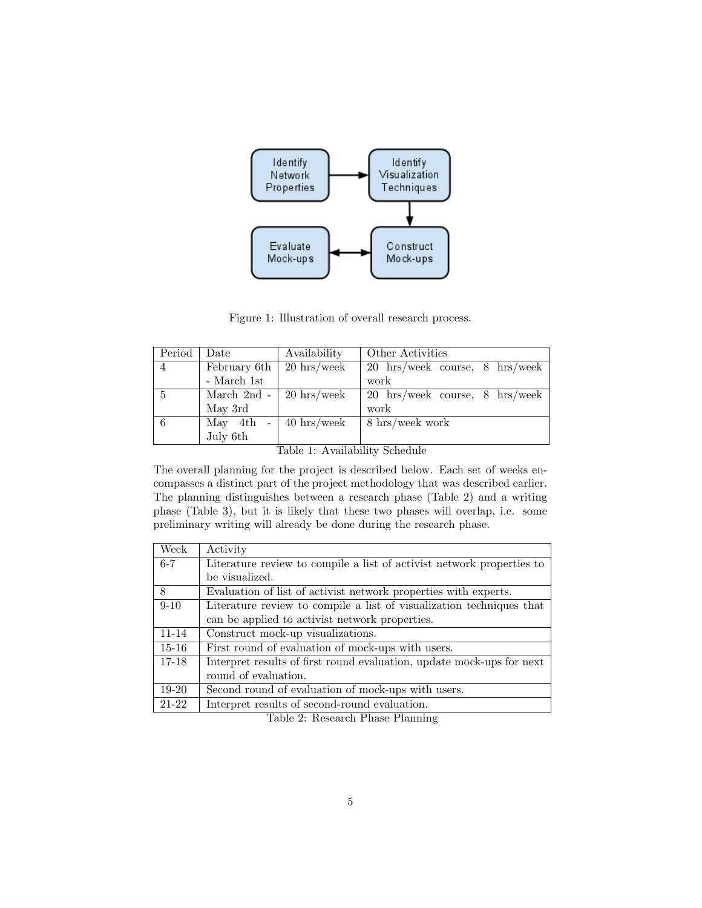

Figure 1: Illustration of overall research process.

| Period                         | Date         | Availability            | Other Activities               |  |
|--------------------------------|--------------|-------------------------|--------------------------------|--|
| $\overline{4}$                 | February 6th | $20 \text{ hrs/week}$   | 20 hrs/week course, 8 hrs/week |  |
|                                | - March 1st  |                         | work                           |  |
| $\overline{5}$                 |              | March 2nd - 20 hrs/week | 20 hrs/week course, 8 hrs/week |  |
|                                | May 3rd      |                         | work                           |  |
| 6                              | May 4th      | $-$ 40 hrs/week         | 8 hrs/week work                |  |
|                                | July 6th     |                         |                                |  |
| Table 1: Availability Schedule |              |                         |                                |  |

Table 1: Availability Schedule

The overall planning for the project is described below. Each set of weeks encompasses a distinct part of the project methodology that was described earlier. The planning distinguishes between a research phase (Table 2) and a writing phase (Table 3), but it is likely that these two phases will overlap, i.e. some preliminary writing will already be done during the research phase.

| Week      | Activity                                                              |  |  |
|-----------|-----------------------------------------------------------------------|--|--|
| $6 - 7$   | Literature review to compile a list of activist network properties to |  |  |
|           | be visualized.                                                        |  |  |
| 8         | Evaluation of list of activist network properties with experts.       |  |  |
| $9 - 10$  | Literature review to compile a list of visualization techniques that  |  |  |
|           | can be applied to activist network properties.                        |  |  |
| $11 - 14$ | Construct mock-up visualizations.                                     |  |  |
| $15 - 16$ | First round of evaluation of mock-ups with users.                     |  |  |
| $17 - 18$ | Interpret results of first round evaluation, update mock-ups for next |  |  |
|           | round of evaluation.                                                  |  |  |
| $19-20$   | Second round of evaluation of mock-ups with users.                    |  |  |
| 21-22     | Interpret results of second-round evaluation.                         |  |  |

Table 2: Research Phase Planning